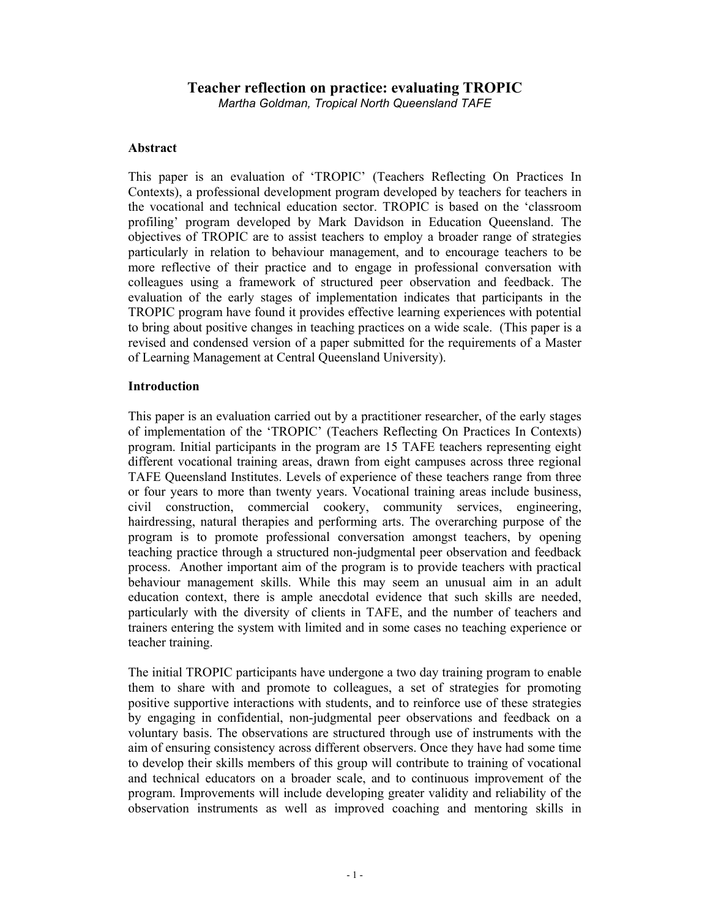# **Teacher reflection on practice: evaluating TROPIC**

*Martha Goldman, Tropical North Queensland TAFE* 

#### **Abstract**

This paper is an evaluation of 'TROPIC' (Teachers Reflecting On Practices In Contexts), a professional development program developed by teachers for teachers in the vocational and technical education sector. TROPIC is based on the 'classroom profiling' program developed by Mark Davidson in Education Queensland. The objectives of TROPIC are to assist teachers to employ a broader range of strategies particularly in relation to behaviour management, and to encourage teachers to be more reflective of their practice and to engage in professional conversation with colleagues using a framework of structured peer observation and feedback. The evaluation of the early stages of implementation indicates that participants in the TROPIC program have found it provides effective learning experiences with potential to bring about positive changes in teaching practices on a wide scale. (This paper is a revised and condensed version of a paper submitted for the requirements of a Master of Learning Management at Central Queensland University).

#### **Introduction**

This paper is an evaluation carried out by a practitioner researcher, of the early stages of implementation of the 'TROPIC' (Teachers Reflecting On Practices In Contexts) program. Initial participants in the program are 15 TAFE teachers representing eight different vocational training areas, drawn from eight campuses across three regional TAFE Queensland Institutes. Levels of experience of these teachers range from three or four years to more than twenty years. Vocational training areas include business, civil construction, commercial cookery, community services, engineering, hairdressing, natural therapies and performing arts. The overarching purpose of the program is to promote professional conversation amongst teachers, by opening teaching practice through a structured non-judgmental peer observation and feedback process. Another important aim of the program is to provide teachers with practical behaviour management skills. While this may seem an unusual aim in an adult education context, there is ample anecdotal evidence that such skills are needed, particularly with the diversity of clients in TAFE, and the number of teachers and trainers entering the system with limited and in some cases no teaching experience or teacher training.

The initial TROPIC participants have undergone a two day training program to enable them to share with and promote to colleagues, a set of strategies for promoting positive supportive interactions with students, and to reinforce use of these strategies by engaging in confidential, non-judgmental peer observations and feedback on a voluntary basis. The observations are structured through use of instruments with the aim of ensuring consistency across different observers. Once they have had some time to develop their skills members of this group will contribute to training of vocational and technical educators on a broader scale, and to continuous improvement of the program. Improvements will include developing greater validity and reliability of the observation instruments as well as improved coaching and mentoring skills in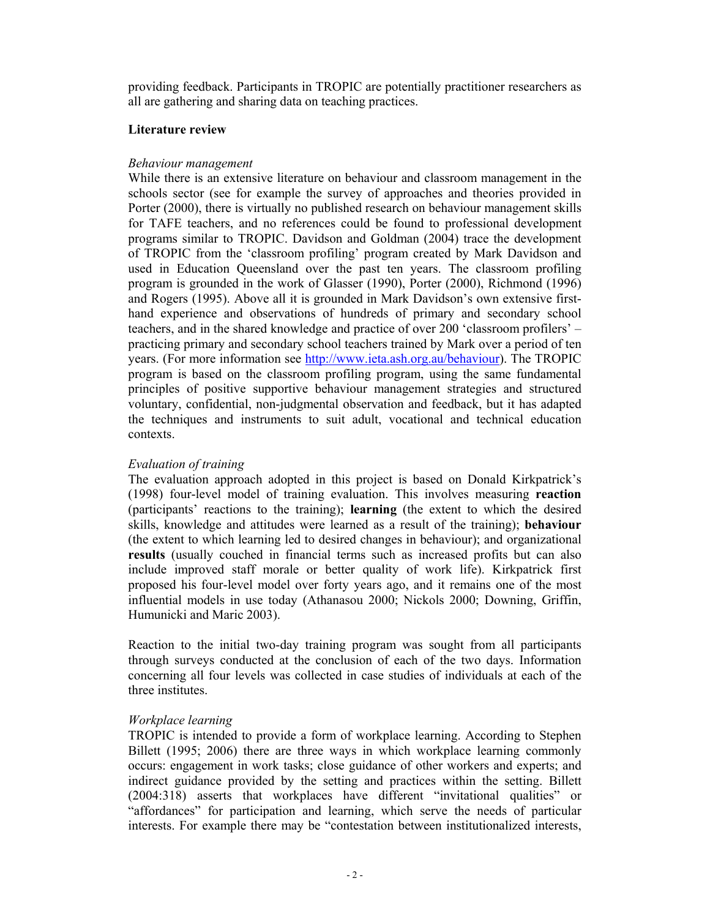providing feedback. Participants in TROPIC are potentially practitioner researchers as all are gathering and sharing data on teaching practices.

#### **Literature review**

#### *Behaviour management*

While there is an extensive literature on behaviour and classroom management in the schools sector (see for example the survey of approaches and theories provided in Porter (2000), there is virtually no published research on behaviour management skills for TAFE teachers, and no references could be found to professional development programs similar to TROPIC. Davidson and Goldman (2004) trace the development of TROPIC from the 'classroom profiling' program created by Mark Davidson and used in Education Queensland over the past ten years. The classroom profiling program is grounded in the work of Glasser (1990), Porter (2000), Richmond (1996) and Rogers (1995). Above all it is grounded in Mark Davidson's own extensive firsthand experience and observations of hundreds of primary and secondary school teachers, and in the shared knowledge and practice of over 200 'classroom profilers' – practicing primary and secondary school teachers trained by Mark over a period of ten years. (For more information see http://www.ieta.ash.org.au/behaviour). The TROPIC program is based on the classroom profiling program, using the same fundamental principles of positive supportive behaviour management strategies and structured voluntary, confidential, non-judgmental observation and feedback, but it has adapted the techniques and instruments to suit adult, vocational and technical education contexts.

#### *Evaluation of training*

The evaluation approach adopted in this project is based on Donald Kirkpatrick's (1998) four-level model of training evaluation. This involves measuring **reaction**  (participants' reactions to the training); **learning** (the extent to which the desired skills, knowledge and attitudes were learned as a result of the training); **behaviour**  (the extent to which learning led to desired changes in behaviour); and organizational **results** (usually couched in financial terms such as increased profits but can also include improved staff morale or better quality of work life). Kirkpatrick first proposed his four-level model over forty years ago, and it remains one of the most influential models in use today (Athanasou 2000; Nickols 2000; Downing, Griffin, Humunicki and Maric 2003).

Reaction to the initial two-day training program was sought from all participants through surveys conducted at the conclusion of each of the two days. Information concerning all four levels was collected in case studies of individuals at each of the three institutes.

#### *Workplace learning*

TROPIC is intended to provide a form of workplace learning. According to Stephen Billett (1995; 2006) there are three ways in which workplace learning commonly occurs: engagement in work tasks; close guidance of other workers and experts; and indirect guidance provided by the setting and practices within the setting. Billett (2004:318) asserts that workplaces have different "invitational qualities" or "affordances" for participation and learning, which serve the needs of particular interests. For example there may be "contestation between institutionalized interests,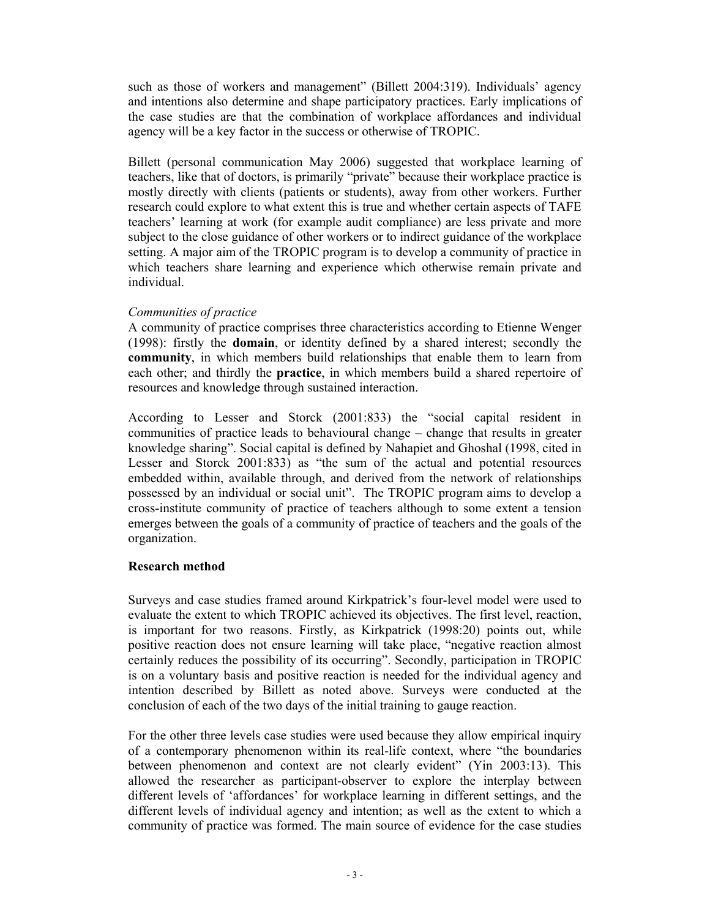such as those of workers and management" (Billett 2004:319). Individuals' agency and intentions also determine and shape participatory practices. Early implications of the case studies are that the combination of workplace affordances and individual agency will be a key factor in the success or otherwise of TROPIC.

Billett (personal communication May 2006) suggested that workplace learning of teachers, like that of doctors, is primarily "private" because their workplace practice is mostly directly with clients (patients or students), away from other workers. Further research could explore to what extent this is true and whether certain aspects of TAFE teachers' learning at work (for example audit compliance) are less private and more subject to the close guidance of other workers or to indirect guidance of the workplace setting. A major aim of the TROPIC program is to develop a community of practice in which teachers share learning and experience which otherwise remain private and individual.

#### *Communities of practice*

A community of practice comprises three characteristics according to Etienne Wenger (1998): firstly the **domain**, or identity defined by a shared interest; secondly the **community**, in which members build relationships that enable them to learn from each other; and thirdly the **practice**, in which members build a shared repertoire of resources and knowledge through sustained interaction.

According to Lesser and Storck (2001:833) the "social capital resident in communities of practice leads to behavioural change – change that results in greater knowledge sharing". Social capital is defined by Nahapiet and Ghoshal (1998, cited in Lesser and Storck 2001:833) as "the sum of the actual and potential resources embedded within, available through, and derived from the network of relationships possessed by an individual or social unit". The TROPIC program aims to develop a cross-institute community of practice of teachers although to some extent a tension emerges between the goals of a community of practice of teachers and the goals of the organization.

## **Research method**

Surveys and case studies framed around Kirkpatrick's four-level model were used to evaluate the extent to which TROPIC achieved its objectives. The first level, reaction, is important for two reasons. Firstly, as Kirkpatrick (1998:20) points out, while positive reaction does not ensure learning will take place, "negative reaction almost certainly reduces the possibility of its occurring". Secondly, participation in TROPIC is on a voluntary basis and positive reaction is needed for the individual agency and intention described by Billett as noted above. Surveys were conducted at the conclusion of each of the two days of the initial training to gauge reaction.

For the other three levels case studies were used because they allow empirical inquiry of a contemporary phenomenon within its real-life context, where "the boundaries between phenomenon and context are not clearly evident" (Yin 2003:13). This allowed the researcher as participant-observer to explore the interplay between different levels of 'affordances' for workplace learning in different settings, and the different levels of individual agency and intention; as well as the extent to which a community of practice was formed. The main source of evidence for the case studies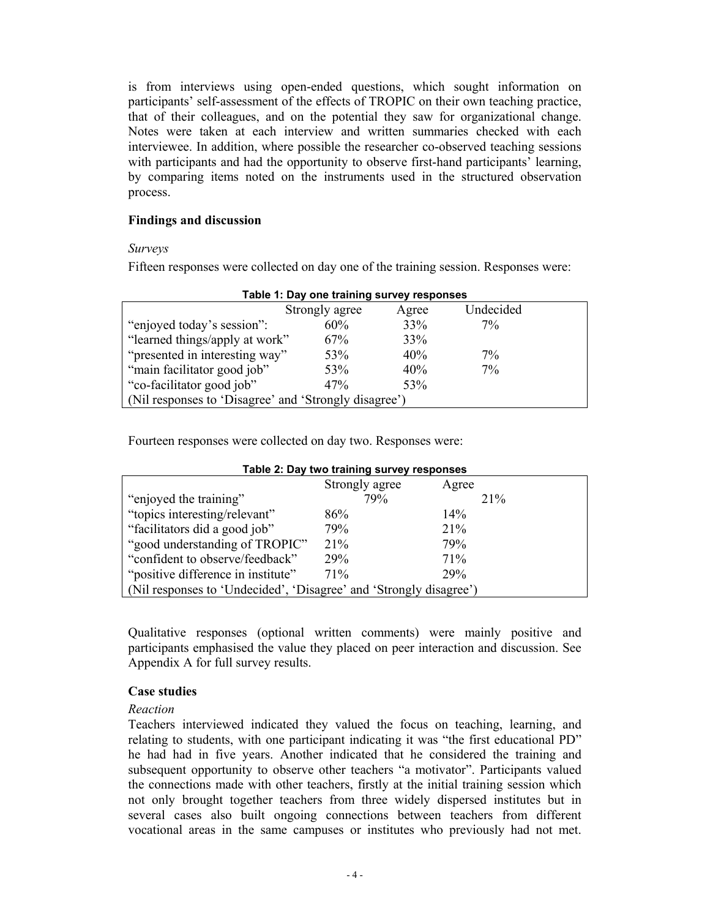is from interviews using open-ended questions, which sought information on participants' self-assessment of the effects of TROPIC on their own teaching practice, that of their colleagues, and on the potential they saw for organizational change. Notes were taken at each interview and written summaries checked with each interviewee. In addition, where possible the researcher co-observed teaching sessions with participants and had the opportunity to observe first-hand participants' learning, by comparing items noted on the instruments used in the structured observation process.

#### **Findings and discussion**

*Surveys* 

Fifteen responses were collected on day one of the training session. Responses were:

| Table 1: Day one training survey responses            |                |       |           |  |
|-------------------------------------------------------|----------------|-------|-----------|--|
|                                                       | Strongly agree | Agree | Undecided |  |
| "enjoyed today's session".                            | 60%            | 33%   | $7\%$     |  |
| "learned things/apply at work"                        | 67%            | 33%   |           |  |
| "presented in interesting way"                        | 53%            | 40%   | $7\%$     |  |
| "main facilitator good job"                           | 53%            | 40%   | $7\%$     |  |
| "co-facilitator good job"                             | 47%            | 53%   |           |  |
| (Nil responses to 'Disagree' and 'Strongly disagree') |                |       |           |  |

**Table 1: Day one training survey responses** 

Fourteen responses were collected on day two. Responses were:

| Table 2: Day two training survey responses                         |                |       |  |
|--------------------------------------------------------------------|----------------|-------|--|
|                                                                    | Strongly agree | Agree |  |
| "enjoyed the training"                                             | 79%            | 21%   |  |
| "topics interesting/relevant"                                      | 86%            | 14%   |  |
| "facilitators did a good job"                                      | 79%            | 21%   |  |
| "good understanding of TROPIC"                                     | 21%            | 79%   |  |
| "confident to observe/feedback"                                    | 29%            | 71%   |  |
| "positive difference in institute"                                 | 71%            | 29%   |  |
| (Nil responses to 'Undecided', 'Disagree' and 'Strongly disagree') |                |       |  |

Qualitative responses (optional written comments) were mainly positive and participants emphasised the value they placed on peer interaction and discussion. See Appendix A for full survey results.

## **Case studies**

#### *Reaction*

Teachers interviewed indicated they valued the focus on teaching, learning, and relating to students, with one participant indicating it was "the first educational PD" he had had in five years. Another indicated that he considered the training and subsequent opportunity to observe other teachers "a motivator". Participants valued the connections made with other teachers, firstly at the initial training session which not only brought together teachers from three widely dispersed institutes but in several cases also built ongoing connections between teachers from different vocational areas in the same campuses or institutes who previously had not met.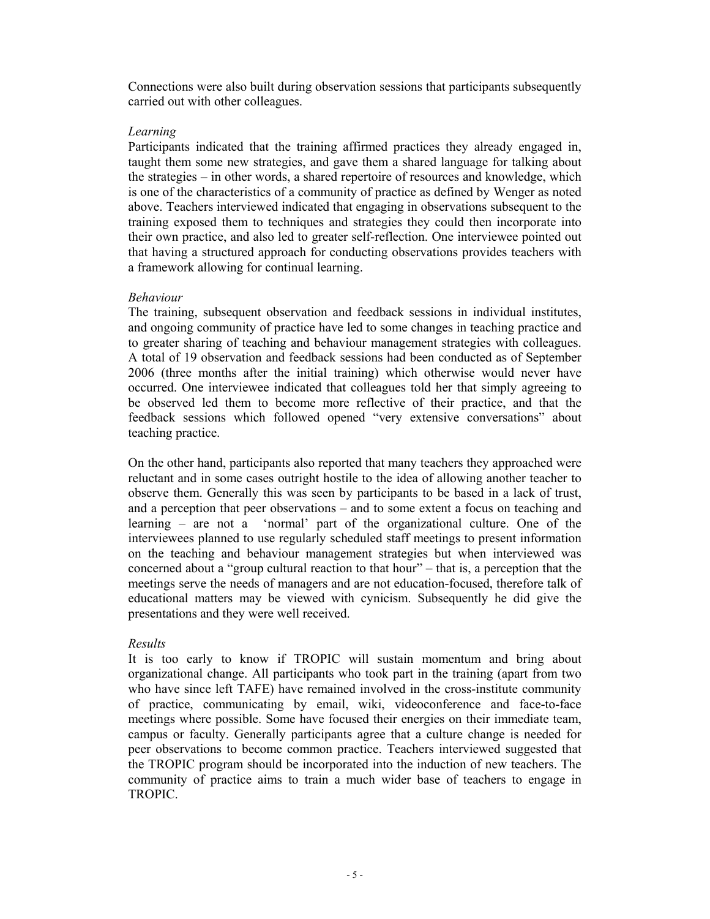Connections were also built during observation sessions that participants subsequently carried out with other colleagues.

#### *Learning*

Participants indicated that the training affirmed practices they already engaged in, taught them some new strategies, and gave them a shared language for talking about the strategies – in other words, a shared repertoire of resources and knowledge, which is one of the characteristics of a community of practice as defined by Wenger as noted above. Teachers interviewed indicated that engaging in observations subsequent to the training exposed them to techniques and strategies they could then incorporate into their own practice, and also led to greater self-reflection. One interviewee pointed out that having a structured approach for conducting observations provides teachers with a framework allowing for continual learning.

#### *Behaviour*

The training, subsequent observation and feedback sessions in individual institutes, and ongoing community of practice have led to some changes in teaching practice and to greater sharing of teaching and behaviour management strategies with colleagues. A total of 19 observation and feedback sessions had been conducted as of September 2006 (three months after the initial training) which otherwise would never have occurred. One interviewee indicated that colleagues told her that simply agreeing to be observed led them to become more reflective of their practice, and that the feedback sessions which followed opened "very extensive conversations" about teaching practice.

On the other hand, participants also reported that many teachers they approached were reluctant and in some cases outright hostile to the idea of allowing another teacher to observe them. Generally this was seen by participants to be based in a lack of trust, and a perception that peer observations – and to some extent a focus on teaching and learning – are not a 'normal' part of the organizational culture. One of the interviewees planned to use regularly scheduled staff meetings to present information on the teaching and behaviour management strategies but when interviewed was concerned about a "group cultural reaction to that hour" – that is, a perception that the meetings serve the needs of managers and are not education-focused, therefore talk of educational matters may be viewed with cynicism. Subsequently he did give the presentations and they were well received.

## *Results*

It is too early to know if TROPIC will sustain momentum and bring about organizational change. All participants who took part in the training (apart from two who have since left TAFE) have remained involved in the cross-institute community of practice, communicating by email, wiki, videoconference and face-to-face meetings where possible. Some have focused their energies on their immediate team, campus or faculty. Generally participants agree that a culture change is needed for peer observations to become common practice. Teachers interviewed suggested that the TROPIC program should be incorporated into the induction of new teachers. The community of practice aims to train a much wider base of teachers to engage in TROPIC.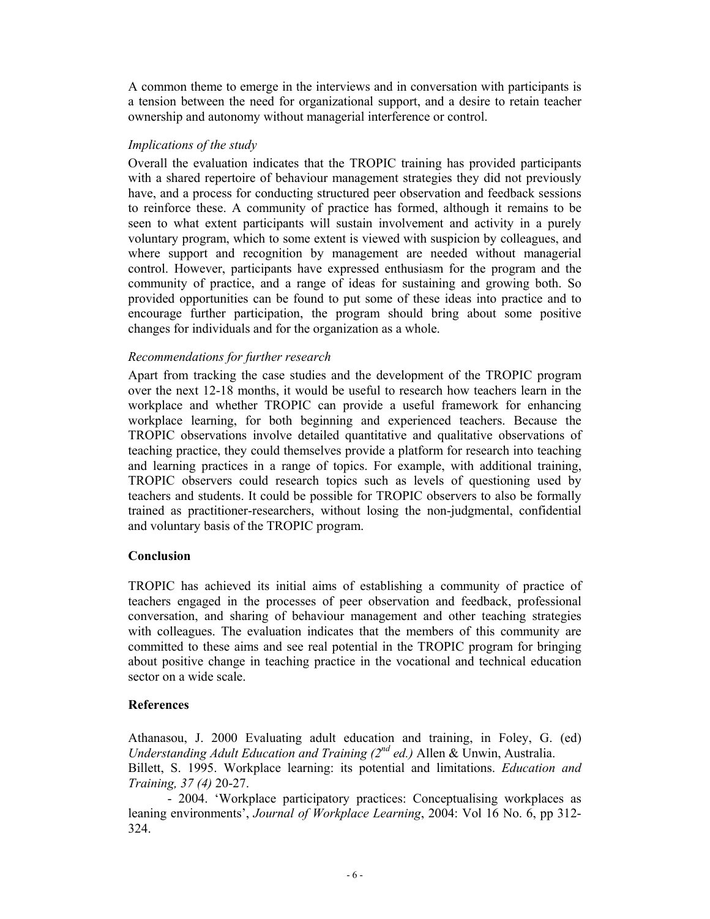A common theme to emerge in the interviews and in conversation with participants is a tension between the need for organizational support, and a desire to retain teacher ownership and autonomy without managerial interference or control.

#### *Implications of the study*

Overall the evaluation indicates that the TROPIC training has provided participants with a shared repertoire of behaviour management strategies they did not previously have, and a process for conducting structured peer observation and feedback sessions to reinforce these. A community of practice has formed, although it remains to be seen to what extent participants will sustain involvement and activity in a purely voluntary program, which to some extent is viewed with suspicion by colleagues, and where support and recognition by management are needed without managerial control. However, participants have expressed enthusiasm for the program and the community of practice, and a range of ideas for sustaining and growing both. So provided opportunities can be found to put some of these ideas into practice and to encourage further participation, the program should bring about some positive changes for individuals and for the organization as a whole.

#### *Recommendations for further research*

Apart from tracking the case studies and the development of the TROPIC program over the next 12-18 months, it would be useful to research how teachers learn in the workplace and whether TROPIC can provide a useful framework for enhancing workplace learning, for both beginning and experienced teachers. Because the TROPIC observations involve detailed quantitative and qualitative observations of teaching practice, they could themselves provide a platform for research into teaching and learning practices in a range of topics. For example, with additional training, TROPIC observers could research topics such as levels of questioning used by teachers and students. It could be possible for TROPIC observers to also be formally trained as practitioner-researchers, without losing the non-judgmental, confidential and voluntary basis of the TROPIC program.

## **Conclusion**

TROPIC has achieved its initial aims of establishing a community of practice of teachers engaged in the processes of peer observation and feedback, professional conversation, and sharing of behaviour management and other teaching strategies with colleagues. The evaluation indicates that the members of this community are committed to these aims and see real potential in the TROPIC program for bringing about positive change in teaching practice in the vocational and technical education sector on a wide scale.

## **References**

Athanasou, J. 2000 Evaluating adult education and training, in Foley, G. (ed) *Understanding Adult Education and Training (2nd ed.)* Allen & Unwin, Australia. Billett, S. 1995. Workplace learning: its potential and limitations. *Education and Training, 37 (4)* 20-27.

 - 2004. 'Workplace participatory practices: Conceptualising workplaces as leaning environments', *Journal of Workplace Learning*, 2004: Vol 16 No. 6, pp 312- 324.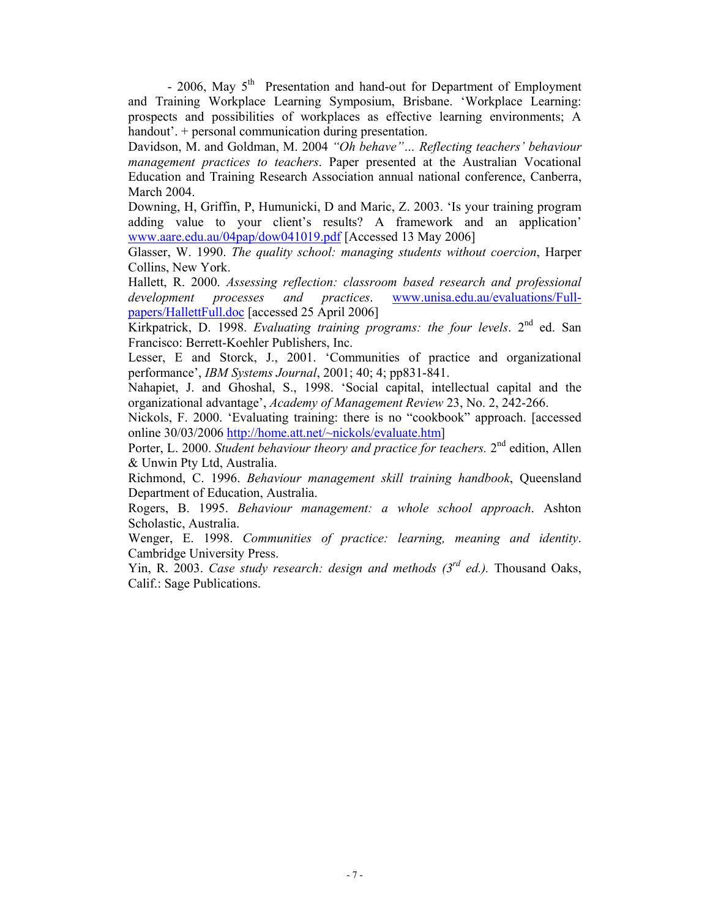- 2006, May  $5<sup>th</sup>$  Presentation and hand-out for Department of Employment and Training Workplace Learning Symposium, Brisbane. 'Workplace Learning: prospects and possibilities of workplaces as effective learning environments; A handout'. + personal communication during presentation.

Davidson, M. and Goldman, M. 2004 *"Oh behave"… Reflecting teachers' behaviour management practices to teachers*. Paper presented at the Australian Vocational Education and Training Research Association annual national conference, Canberra, March 2004.

Downing, H, Griffin, P, Humunicki, D and Maric, Z. 2003. 'Is your training program adding value to your client's results? A framework and an application' www.aare.edu.au/04pap/dow041019.pdf [Accessed 13 May 2006]

Glasser, W. 1990. *The quality school: managing students without coercion*, Harper Collins, New York.

Hallett, R. 2000. *Assessing reflection: classroom based research and professional development processes and practices*. www.unisa.edu.au/evaluations/Fullpapers/HallettFull.doc [accessed 25 April 2006]

Kirkpatrick, D. 1998. *Evaluating training programs: the four levels*. 2nd ed. San Francisco: Berrett-Koehler Publishers, Inc.

Lesser, E and Storck, J., 2001. 'Communities of practice and organizational performance', *IBM Systems Journal*, 2001; 40; 4; pp831-841.

Nahapiet, J. and Ghoshal, S., 1998. 'Social capital, intellectual capital and the organizational advantage', *Academy of Management Review* 23, No. 2, 242-266.

Nickols, F. 2000. 'Evaluating training: there is no "cookbook" approach. [accessed online 30/03/2006 http://home.att.net/~nickols/evaluate.htm]

Porter, L. 2000. *Student behaviour theory and practice for teachers*. 2<sup>nd</sup> edition, Allen & Unwin Pty Ltd, Australia.

Richmond, C. 1996. *Behaviour management skill training handbook*, Queensland Department of Education, Australia.

Rogers, B. 1995. *Behaviour management: a whole school approach*. Ashton Scholastic, Australia.

Wenger, E. 1998. *Communities of practice: learning, meaning and identity*. Cambridge University Press.

Yin, R. 2003. *Case study research: design and methods (3rd ed.).* Thousand Oaks, Calif.: Sage Publications.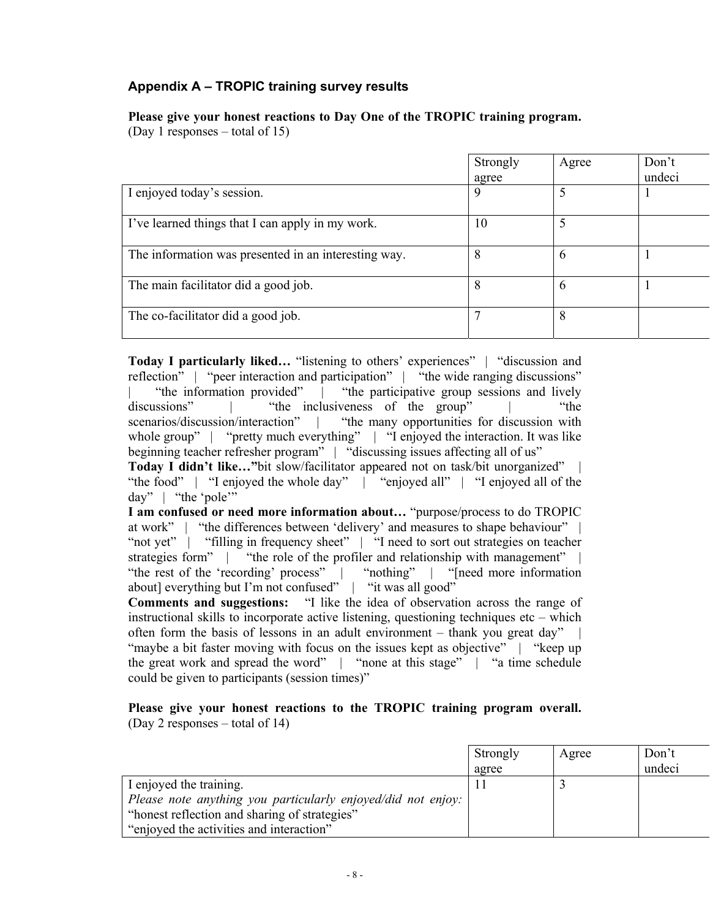# **Appendix A – TROPIC training survey results**

# **Please give your honest reactions to Day One of the TROPIC training program.**

(Day 1 responses – total of 15)

|                                                      | Strongly<br>agree | Agree | Don't<br>undeci |
|------------------------------------------------------|-------------------|-------|-----------------|
| I enjoyed today's session.                           | 9                 |       |                 |
| I've learned things that I can apply in my work.     | 10                | 5     |                 |
| The information was presented in an interesting way. | 8                 | 6     |                 |
| The main facilitator did a good job.                 | 8                 | 6     |                 |
| The co-facilitator did a good job.                   |                   | 8     |                 |

**Today I particularly liked...** "listening to others' experiences" | "discussion and reflection" | "peer interaction and participation" | "the wide ranging discussions" "the information provided" | "the participative group sessions and lively discussions" | "the inclusiveness of the group" | "the scenarios/discussion/interaction" | "the many opportunities for discussion with whole group" | "pretty much everything" | "I enjoyed the interaction. It was like beginning teacher refresher program" | "discussing issues affecting all of us" **Today I didn't like...**"bit slow/facilitator appeared not on task/bit unorganized"

"the food" | "I enjoyed the whole day" | "enjoyed all" | "I enjoyed all of the day" | "the 'pole'"

**I am confused or need more information about…** "purpose/process to do TROPIC at work" | "the differences between 'delivery' and measures to shape behaviour" | "not yet" | "filling in frequency sheet" | "I need to sort out strategies on teacher strategies form" | "the role of the profiler and relationship with management" | "the rest of the 'recording' process" | "nothing" | "[need more information about] everything but I'm not confused" | "it was all good"

**Comments and suggestions:** "I like the idea of observation across the range of instructional skills to incorporate active listening, questioning techniques etc – which often form the basis of lessons in an adult environment  $-$  thank you great day" "maybe a bit faster moving with focus on the issues kept as objective" | "keep up the great work and spread the word" | "none at this stage" | "a time schedule could be given to participants (session times)"

**Please give your honest reactions to the TROPIC training program overall.** (Day 2 responses – total of 14)

|                                                              | Strongly<br>agree | Agree | Don't<br>undeci |
|--------------------------------------------------------------|-------------------|-------|-----------------|
| I enjoyed the training.                                      |                   |       |                 |
| Please note anything you particularly enjoyed/did not enjoy: |                   |       |                 |
| "honest reflection and sharing of strategies"                |                   |       |                 |
| "enjoyed the activities and interaction"                     |                   |       |                 |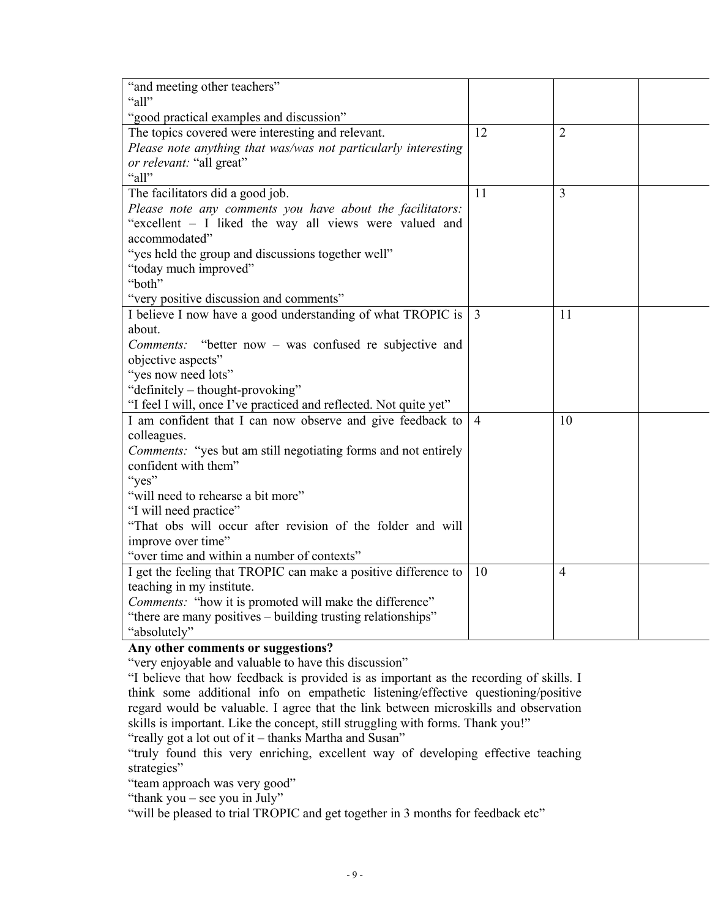| "and meeting other teachers"<br>"all"                                                         |                |                |  |
|-----------------------------------------------------------------------------------------------|----------------|----------------|--|
|                                                                                               |                |                |  |
| "good practical examples and discussion"<br>The topics covered were interesting and relevant. | 12             | $\overline{2}$ |  |
| Please note anything that was/was not particularly interesting                                |                |                |  |
| or relevant: "all great"                                                                      |                |                |  |
| "all"                                                                                         |                |                |  |
| The facilitators did a good job.                                                              | 11             | 3              |  |
| Please note any comments you have about the facilitators:                                     |                |                |  |
| "excellent - I liked the way all views were valued and                                        |                |                |  |
| accommodated"                                                                                 |                |                |  |
| "yes held the group and discussions together well"                                            |                |                |  |
| "today much improved"                                                                         |                |                |  |
| "both"                                                                                        |                |                |  |
| "very positive discussion and comments"                                                       |                |                |  |
| I believe I now have a good understanding of what TROPIC is                                   | $\overline{3}$ | 11             |  |
| about.                                                                                        |                |                |  |
| "better now – was confused re subjective and<br>Comments:                                     |                |                |  |
| objective aspects"                                                                            |                |                |  |
| "yes now need lots"                                                                           |                |                |  |
| "definitely – thought-provoking"                                                              |                |                |  |
| "I feel I will, once I've practiced and reflected. Not quite yet"                             |                |                |  |
| I am confident that I can now observe and give feedback to                                    | $\overline{4}$ | 10             |  |
| colleagues.                                                                                   |                |                |  |
| Comments: "yes but am still negotiating forms and not entirely                                |                |                |  |
| confident with them"                                                                          |                |                |  |
| "yes"                                                                                         |                |                |  |
| "will need to rehearse a bit more"                                                            |                |                |  |
| "I will need practice"                                                                        |                |                |  |
| "That obs will occur after revision of the folder and will                                    |                |                |  |
| improve over time"                                                                            |                |                |  |
| "over time and within a number of contexts"                                                   |                |                |  |
| I get the feeling that TROPIC can make a positive difference to                               | 10             | $\overline{4}$ |  |
| teaching in my institute.                                                                     |                |                |  |
| <i>Comments:</i> "how it is promoted will make the difference"                                |                |                |  |
| "there are many positives – building trusting relationships"                                  |                |                |  |
| "absolutely"                                                                                  |                |                |  |

## **Any other comments or suggestions?**

"very enjoyable and valuable to have this discussion"

"I believe that how feedback is provided is as important as the recording of skills. I think some additional info on empathetic listening/effective questioning/positive regard would be valuable. I agree that the link between microskills and observation skills is important. Like the concept, still struggling with forms. Thank you!"

"really got a lot out of it – thanks Martha and Susan"

"truly found this very enriching, excellent way of developing effective teaching strategies"

"team approach was very good"

"thank you – see you in July"

"will be pleased to trial TROPIC and get together in 3 months for feedback etc"